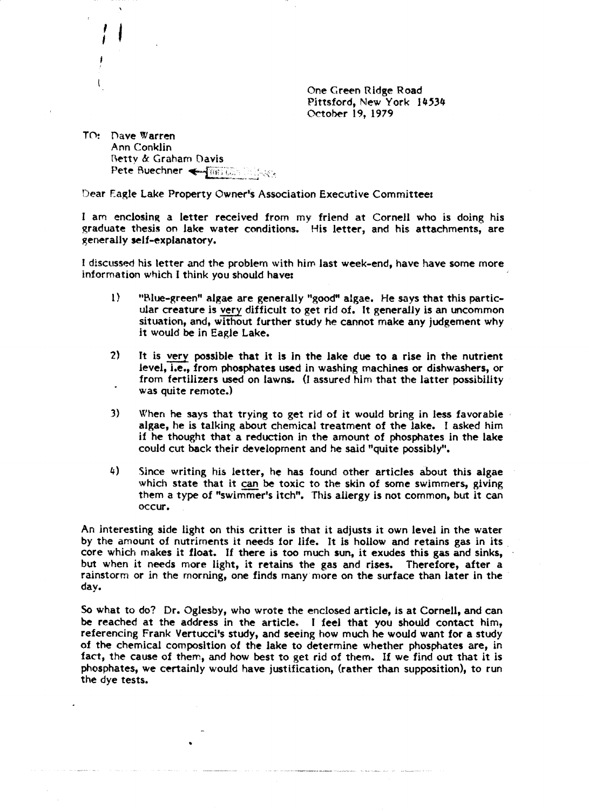One Creen Ridge Road Pittsford, New York 14534 October 19, 1979

TO: Dave Warren Ann Conklin Betty & Graham Davis Pete Buechner < The Circle Control

: ,

Dear Eagle Lake Property Owner's Association Executive Committee:

I am enclosing a letter received from my friend at Cornell who is doing his graduate thesis on lake water conditions. His letter, and his attachments, are generally self-explanatory.

I discussed his letter and the problem with him last week-end, have have some more information which I think you should have:

- 1) "Blue-green" algae are generally "good" algae. He says that this particular creature is very difficult to get rid of. It generally is an uncommon situation, and, without further study he cannot make any judgement why it would be in Eagle lake.
- 2) It is very possible that it is In the lake due to a rise in the nutrient level, i.e., from phosphates used in washing machines or dishwashers, or from fertilizers used on lawns. (I assured him that the latter possibility was quite remote.)
- 3) When he says that trying to get rid of it would bring in less favorable algae, he is talking about chemical treatment of the lake. I asked him if he thought that' a reduction in the amount of phosphates in the lake could cut back their development and he said "quite possibly".
- 4) Since writing his letter, he has found other articles about this algae which state that it can be toxic to the skin of some swimmers, giving them a type of "swimmer's itch". This allergy is not common, but it can occur.

An interesting side light on this critter is that it adjusts it own level in the water by the amount of nutriments it needs for life. It is hollow and retains gas in its core which makes it float. If there is too much sun, it exudes this gas and sinks, but when it needs more light, it retains the gas and rises. Therefore, after a rainstorm or in the morning, one finds many more on the surface than later in the day.

So what to do? Dr. Oglesby, who wrote the enclosed article, is at Cornell, and can be reached at the address in the article. I feel that you should contact him, referencing Frank Vertucci's study, and seeing how much he would want for a study of the chemical composition of the lake to determine whether phosphates are, in fact, the cause of them, and how best to get rid of them. If we find out that it is phosphates, we certainly would have justification, (rather than supposition), to run the dye tests.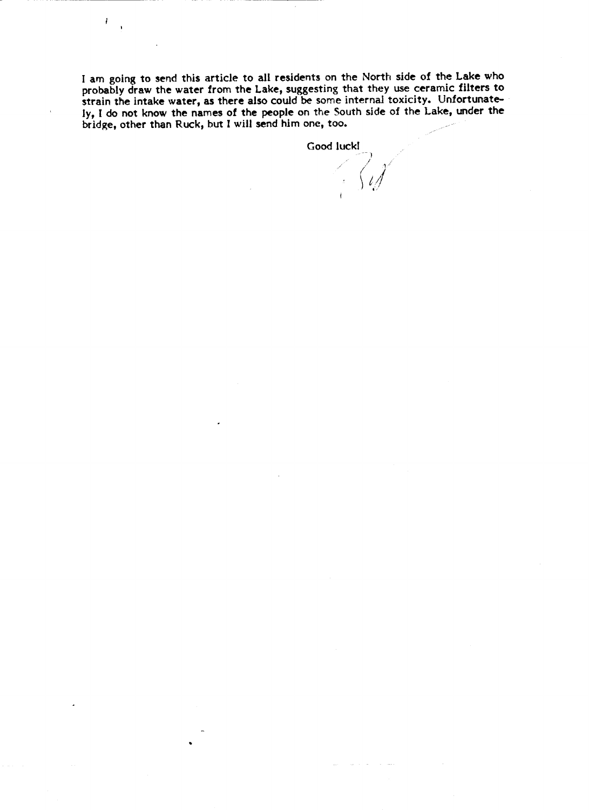I am going to send this article to all residents on the North side of the Lake who probably draw the water from the Lake, suggesting that they use ceramic filters to strain the intake water, as there also could be some internal toxicity. Unfortunately, I do not know the names of the people on the South side of the Lake, under the brIdge, other than Ruck, but I will send him one, too.

 $\mathbf{I}$ 

Good luckl<br> $\bigcap_{i=1}^{\infty}$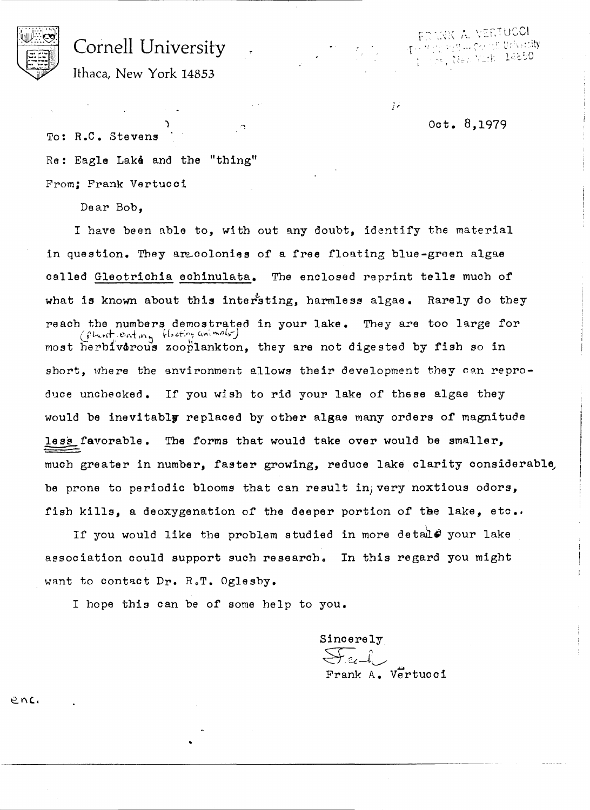

# Cornell University

y s<sub>a</sub>y ... go cit thireta**lly**  $\frac{1}{16}$ , Wea Yurk 14850

Ithaca, New York 14853

Oct. 8,1979

j r

 $\mathbb{C}^2$ To: R.C. Stevens Re: Eagle Lake and the "thing" From; Frank Vertuoci

)

Dear Bob,

I have been able to, with out any doubt, identify the material in question. They are colonies of a free floating blue-green algae called Gleotrichia eohinulata. The enolosed reprint tells muoh of what is known about this intersting, harmless algae. Rarely do they reach the numbers demostrated in your lake. They are too large for (fluit enting flooting unimals) most herbfv&rous zooplankton, they are not digested by fish so in short, where the environment allows their development they can reproduce unchecked. If you wish to rid your lake of these algae they would be inevitably replaced by other algae many orders of magnitude less favorable. The forms that would take over would be smaller, much greater in number, faster growing, reduce lake clarity considerable be prone to periodic blooms that can result in; very noxtious odors, fish kills, a deoxygenation of the deeper portion of the lake, etc..

If you would like the problem studied in more detail# your lake association could support such research. In this regard you might want to contact Dr. R.T. Oglesby.

I hope this can be of some help to you.

Sincerely  $\sum x_i$ Frank A. Vertucci

 $e$   $n$ *c*.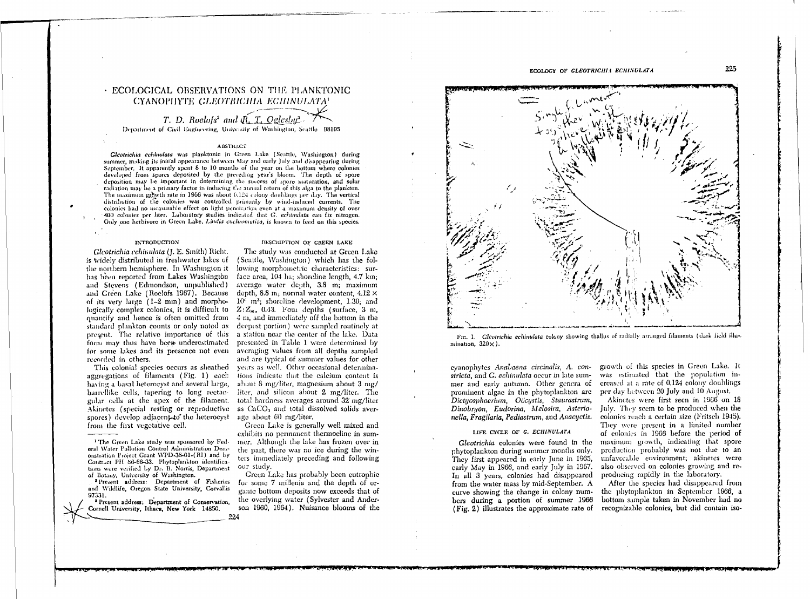# · ECOLOGICAL OBSERVATIONS ON THE PLANKTONIC CYANOPHYTE GLEOTRICHIA ECHINULATA

T. D. Roelofs<sup>2</sup> and Q. T. Oglesbu<sup>3</sup> Department of Civil Engineering, University of Washington, Scattle 98105

## ABSTRACT

Gleotrichia echinulata was planktonic in Green Lake (Seattle, Washington) during summer, making its initial appearance between May and early July and disappearing during September. It apparently spent 8 to 10 months of the year on the bottom where colonies developed from spores deposited by the preceding year's bloom. The depth of spore deposition may be important in determining the success of spore maturation, and solar radiation may be a primary factor in inducing the annual return of this alga to the plankton. The maximum growth rate in 1966 was about 0.124 colony doublings per day. The vertical distribution of the colonies was controlled primarily by wind-induced currents. The colonies had no measurable effect on light penetration even at a maximum density of over 400 colonies per liter. Laboratory studies indicated that G. echinulata can fix nitrogen. Only one herbivore in Green Lake, Lindia cuchromatica, is known to feed on this species.

# **INTRODUCTION**

Gleotrichia echinulata (J. E. Smith) Richt. is widely distributed in freshwater lakes of the northern hemisphere. In Washington it has been reported from Lakes Washington and Stevens (Edmondson, unpublished) and Green Lake (Roelofs 1967). Because of its very large  $(1-2 \text{ mm})$  and mombologically complex colonies, it is difficult to  $Z:Z_m$ , 0.43. Four depths (surface, 3 m, quantify and hence is often omitted from 4 m, and immediately off the bottom in the standard plankton counts or only noted as present. The relative importance of this form may thus have been underestimated presented in Table 1 were determined by for some lakes and its presence not even averaging values from all depths sampled recorded in others.

This colonial species occurs as sheathed aggregations of filaments (Fig. 1) each having a basal heteroeyst and several large. barrellike cells, tapering to long rectangular cells at the apex of the filament. Akinetes (special resting or reproductive spores) develop adjacent to the heterocyst from the first vegetative cell.

<sup>2</sup> Present address: Department of Fisheries and Wildlife, Oregon State University, Corvallis 97331.

<sup>3</sup> Present address; Department of Conservation, Cornell University, Ithaca, New York 14850.

#### DESCRIPTION OF GREEN LAKE

The study was conducted at Green Lake (Seattle, Washington) which has the following morphometric characteristics: surface area, 104 ha; shoreline length, 4.7 km; average water depth, 3.8 m; maximum depth, 8.8 m; normal water content,  $4.12 \times$  $10^{\frac{3}{2}}$  m<sup>3</sup>; shoreline development, 1.30; and deepest portion) were sampled routinely at a station near the center of the lake. Data and are typical of summer values for other years as well. Other occasional determinations indicate that the calcium content is about 8 mg/liter, magnesium about 3 mg/ liter, and silicon about 2 mg/liter. The total hardness averages around 32 mg/liter as CaCO<sub>3</sub> and total dissolved solids average about 60 mg/liter.

Green Lake is generally well mixed and exhibits no permanent thermocline in summer. Although the lake has frozen over in the past, there was no ice during the winters immediately preceding and following our study.

Green Lake has probably been eutrophic for some 7 millenia and the depth of organic bottom deposits now exceeds that of the overlying water (Sylvester and Anderson 1960, 1964). Nuisance blooms of the



FIG. 1. Gleotrichia echinulata colony showing thallus of radially arranged filaments (dark field illu-. mination,  $320 \times$ ).

eyanophytes Anabaena circinalis, A. constricta, and G. echinulata occur in late summer and early autumn. Other genera of prominent algae in the phytoplankton are Dictyosphaerium, Oöcystis, Staurastrum, Dinobruon, Eudorina, Melosira, Asterionella, Fragilaria, Pediastrum, and Anacyctis.

# LIFE CYCLE OF G. ECHINULATA

Gleotrichia colonies were found in the phytoplankton during summer months only. They first appeared in early June in 1965, early May in 1966, and early July in 1967. In all 3 years, colonies had disappeared from the water mass by mid-September. A curve showing the change in colony numbers during a portion of summer 1966  $(Fig. 2)$  illustrates the approximate rate of

growth of this species in Green Lake. It was estimated that the population increased at a rate of 0.124 colony doublings per day between 20 July and 10 August.

Akinetes were first seen in 1966 on 18 July. They seem to be produced when the colonies reach a certain size (Fritsch 1945). They were present in a limited number of colonies in 1966 before the period of maximum growth, indicating that spore production probably was not due to an unfavorable environment; akinetes were also observed on colonies growing and reproducing rapidly in the laboratory.

After the species had disappeared from the phytoplankton in September 1966, a bottom sample taken in November had no recognizable colonies, but did contain iso-

225

<sup>&</sup>lt;sup>1</sup> The Green Lake study was sponsored by Federal Water Pollution Control Administration Demonstration Project Grant WPD-38-01-(RI) and by Contract PH 86-66-33. Phytoplankton identifications were verified by Dr. R. Norris, Department of Botany, University of Washington.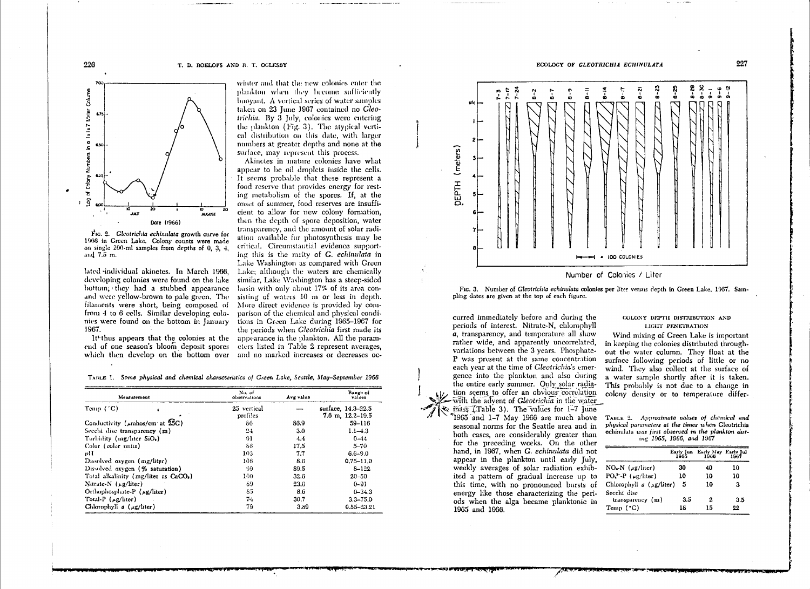#### T. D. ROELOFS AND R. T. OCLESBY



FIG. 2. Gleotrichia echinulata growth curve for 1966 in Green Lake. Colony counts were made on single 200-ml samples from depths of 0, 3, 4, and 7.5 m.

lated individual akinetes. In March 1966, developing colonies were found on the lake bottom; they had a stubbed appearance and were vellow-brown to pale green. The filaments were short, being composed of from 4 to 6 cells. Similar developing colonies were found on the bottom in January 1967.

It<sup>+</sup>thus appears that the colonies at the end of one season's bloom deposit spores which then develop on the bottom over and no marked increases or decreases oc-

winter and that the new colonies enter the plankton when they become sufficiently buoyant. A vertical series of water samples taken on 23 June 1967 contained no Gleotrichia. By 3 July, colonies were entering the plankton (Fig. 3). The atypical vertical distribution on this date, with larger numbers at greater depths and none at the surface, may represent this process.

Akinetes in mature colonies have what appear to be oil droplets inside the cells. It seems probable that these represent a food reserve that provides energy for resting metabolism of the spores. If, at the onset of summer, food reserves are insufficient to allow for new colony formation. then the depth of spore deposition, water transparency, and the amount of solar radiation available for photosynthesis may be critical. Circumstantial evidence supporting this is the rarity of G. echinulata in Lake Washington as compared with Green Lake; although the waters are chemically similar, Lake Washington has a steep-sided basin with only about 17% of its area consisting of waters 10 m or less in depth. More direct evidence is provided by comparison of the chemical and physical conditions in Green Lake during 1965-1967 for the periods when *Gleotrichia* first made its appearance in the plankton. All the parameters listed in Table 2 represent averages,

TABLE 1. Some physical and chemical characteristics of Green Lake, Seattle, May-September 1966

| Measurement                                       | No. of<br>observations  | Avg value | Range of<br>values                           |
|---------------------------------------------------|-------------------------|-----------|----------------------------------------------|
| Temp $(^\circ C)$                                 | 25 vertical<br>profiles |           | surface, 14.3-22.5<br>$7.6$ m, $12.2 - 19.5$ |
| Conductivity ( $\mu$ mhos/cm <sup>2</sup> at 25C) | 86                      | 86.9      | $59 - 116$                                   |
| Secchi disc transparency (m)                      | 24                      | 3.0       | $1.1 - 4.3$                                  |
| Turbidity (mg/liter SiO,)                         | 91                      | 4.4       | $0 - 44$                                     |
| Color (color units)                               | 86                      | 175       | $5 - 70$                                     |
| vH                                                | 103                     | 7.7       | $6.6 - 9.0$                                  |
| Dissolved oxygen (mg/liter)                       | 106                     | 8.6       | $0.75 - 11.0$                                |
| Dissolved oxygen (% saturation)                   | 99                      | 89.5      | $8 - 122$                                    |
| Total alkalinity (mg/liter as CaCO <sub>2</sub> ) | 100                     | 32.6      | $20 - 50$                                    |
| Nitrate-N $(\mu g/liter)$                         | 89                      | 23.0      | $0 - 91$                                     |
| Orthophosphate-P (ug/liter)                       | 85                      | 8.6       | $0 - 34.3$                                   |
| Total-P $(\mu g/\text{liter})$                    | 74                      | 30.7      | $3.3 - 75.0$                                 |
| Chlorophyll $a$ ( $\mu$ g/liter)                  | 79                      | 3.89      | 0.55-23.21                                   |

ECOLOGY OF GLEOTRICHIA ECHINULATA



Number of Colonies / Liter

FIG. 3. Number of Gleotrichia echinulata colonies per liter versus depth in Green Lake, 1967. Sampling dates are given at the top of each figure.

curred immediately before and during the periods of interest. Nitrate-N, chlorophyll a, transparency, and temperature all show rather wide, and apparently uncorrelated. variations between the 3 years. Phosphate-P was present at the same concentration each vear at the time of Gleotrichia's emergence into the plankton and also during the entire early summer. Only solar radiation seems to offer an obvious correlation with the advent of Gleotrichia in the water & mass (Table 3). The values for 1-7 June 1965 and 1-7 May 1966 are much above TABLE 2. Approximate values of chemical and seasonal norms for the Seattle area and in both cases, are considerably greater than for the preceding weeks. On the other hand, in 1967, when G. echinulata did not appear in the plankton until early July. weekly averages of solar radiation exhibited a pattern of gradual increase up to this time, with no pronounced bursts of energy like those characterizing the periods when the alga became planktonic in 1965 and 1966.

#### COLONY DEPTH DISTRIBUTION AND LIGHT PENETRATION

Wind mixing of Green Lake is important in keeping the colonies distributed throughout the water column. They float at the surface following periods of little or no wind. They also collect at the surface of a water sample shortly after it is taken. This probably is not due to a change in colony density or to temperature differ-

physical parameters at the times when Gleotrichia echinulata was first observed in the plankton during 1965, 1966, and 1967

|                                               |           | Early Jun Early May Early Jul 1965 1966 |           |
|-----------------------------------------------|-----------|-----------------------------------------|-----------|
| $NOx N$ ( $\mu$ g/liter)                      | 30        | 40                                      | 10        |
| $PO^{\text{--}}_n$ ( $\mu$ g/liter)           | 10        | 10                                      | 10        |
| Chlorophyll $a (\mu g/litter)$<br>Seechi disc | 5         | 10                                      | з         |
| transparency $(m)$<br>Temp $('C)$             | 3.5<br>18 | 2<br>15                                 | 3.5<br>22 |

226

227